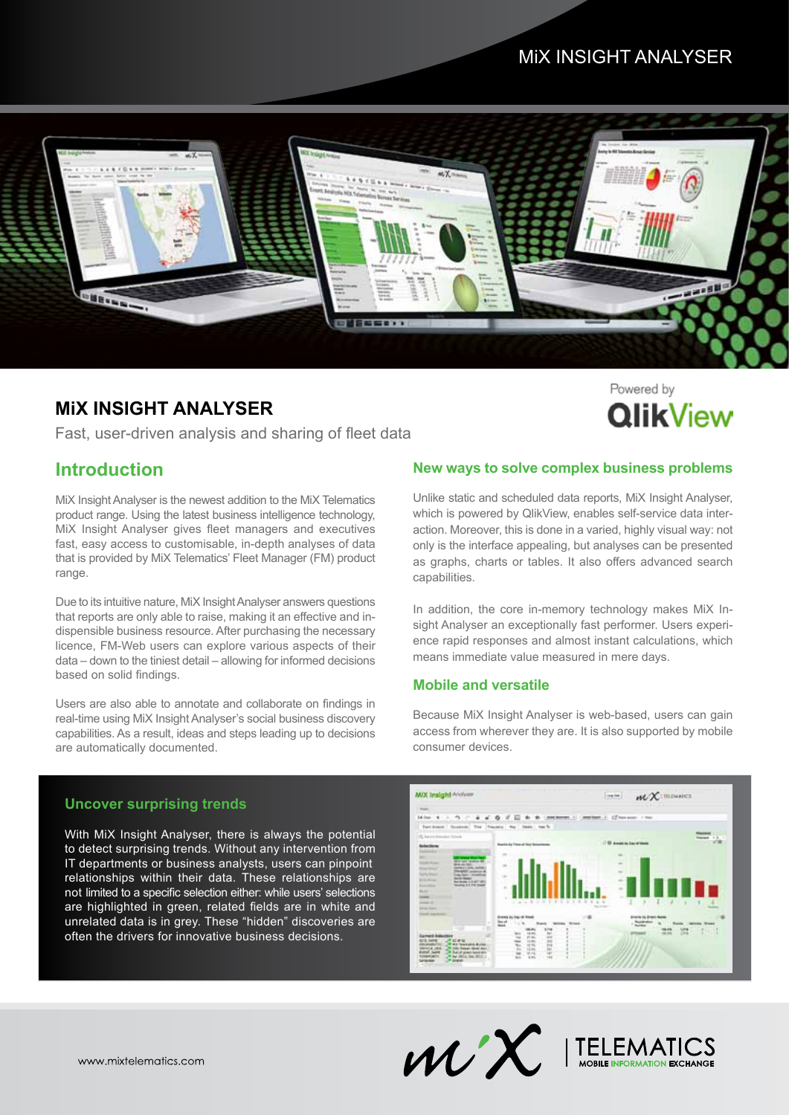# MiX INSIGHT ANALYSER



### **MiX INSIGHT ANALYSER**

Fast, user-driven analysis and sharing of fleet data

### **Introduction**

MiX Insight Analyser is the newest addition to the MiX Telematics product range. Using the latest business intelligence technology, MiX Insight Analyser gives fleet managers and executives fast, easy access to customisable, in-depth analyses of data that is provided by MiX Telematics' Fleet Manager (FM) product range.

Due to its intuitive nature, MiX Insight Analyser answers questions that reports are only able to raise, making it an effective and indispensible business resource. After purchasing the necessary licence, FM-Web users can explore various aspects of their data – down to the tiniest detail – allowing for informed decisions based on solid findings.

Users are also able to annotate and collaborate on findings in real-time using MiX Insight Analyser's social business discovery capabilities. As a result, ideas and steps leading up to decisions are automatically documented.

#### **New ways to solve complex business problems**

**QlikView** 

Unlike static and scheduled data reports, MiX Insight Analyser, which is powered by QlikView, enables self-service data interaction. Moreover, this is done in a varied, highly visual way: not only is the interface appealing, but analyses can be presented as graphs, charts or tables. It also offers advanced search capabilities.

In addition, the core in-memory technology makes MiX Insight Analyser an exceptionally fast performer. Users experience rapid responses and almost instant calculations, which means immediate value measured in mere days.

#### **Mobile and versatile**

Because MiX Insight Analyser is web-based, users can gain access from wherever they are. It is also supported by mobile consumer devices.

#### **Uncover surprising trends**

With MiX Insight Analyser, there is always the potential to detect surprising trends. Without any intervention from IT departments or business analysts, users can pinpoint relationships within their data. These relationships are not limited to a specific selection either: while users' selections are highlighted in green, related fields are in white and unrelated data is in grey. These "hidden" discoveries are often the drivers for innovative business decisions.